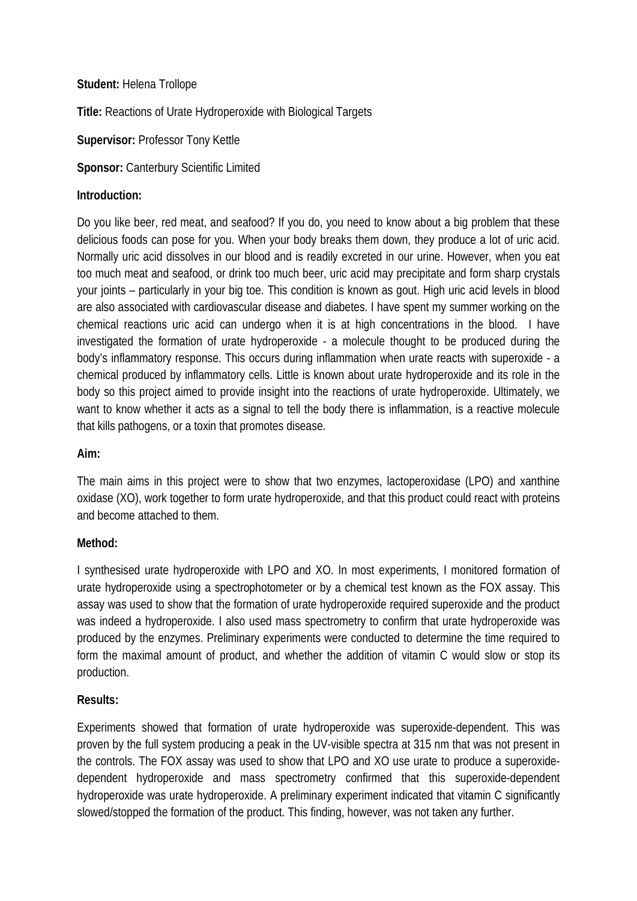## **Student:** Helena Trollope

**Title:** Reactions of Urate Hydroperoxide with Biological Targets

**Supervisor:** Professor Tony Kettle

**Sponsor:** Canterbury Scientific Limited

## **Introduction:**

Do you like beer, red meat, and seafood? If you do, you need to know about a big problem that these delicious foods can pose for you. When your body breaks them down, they produce a lot of uric acid. Normally uric acid dissolves in our blood and is readily excreted in our urine. However, when you eat too much meat and seafood, or drink too much beer, uric acid may precipitate and form sharp crystals your joints – particularly in your big toe. This condition is known as gout. High uric acid levels in blood are also associated with cardiovascular disease and diabetes. I have spent my summer working on the chemical reactions uric acid can undergo when it is at high concentrations in the blood. I have investigated the formation of urate hydroperoxide - a molecule thought to be produced during the body's inflammatory response. This occurs during inflammation when urate reacts with superoxide - a chemical produced by inflammatory cells. Little is known about urate hydroperoxide and its role in the body so this project aimed to provide insight into the reactions of urate hydroperoxide. Ultimately, we want to know whether it acts as a signal to tell the body there is inflammation, is a reactive molecule that kills pathogens, or a toxin that promotes disease.

#### **Aim:**

The main aims in this project were to show that two enzymes, lactoperoxidase (LPO) and xanthine oxidase (XO), work together to form urate hydroperoxide, and that this product could react with proteins and become attached to them.

#### **Method:**

I synthesised urate hydroperoxide with LPO and XO. In most experiments, I monitored formation of urate hydroperoxide using a spectrophotometer or by a chemical test known as the FOX assay. This assay was used to show that the formation of urate hydroperoxide required superoxide and the product was indeed a hydroperoxide. I also used mass spectrometry to confirm that urate hydroperoxide was produced by the enzymes. Preliminary experiments were conducted to determine the time required to form the maximal amount of product, and whether the addition of vitamin C would slow or stop its production.

#### **Results:**

Experiments showed that formation of urate hydroperoxide was superoxide-dependent. This was proven by the full system producing a peak in the UV-visible spectra at 315 nm that was not present in the controls. The FOX assay was used to show that LPO and XO use urate to produce a superoxidedependent hydroperoxide and mass spectrometry confirmed that this superoxide-dependent hydroperoxide was urate hydroperoxide. A preliminary experiment indicated that vitamin C significantly slowed/stopped the formation of the product. This finding, however, was not taken any further.